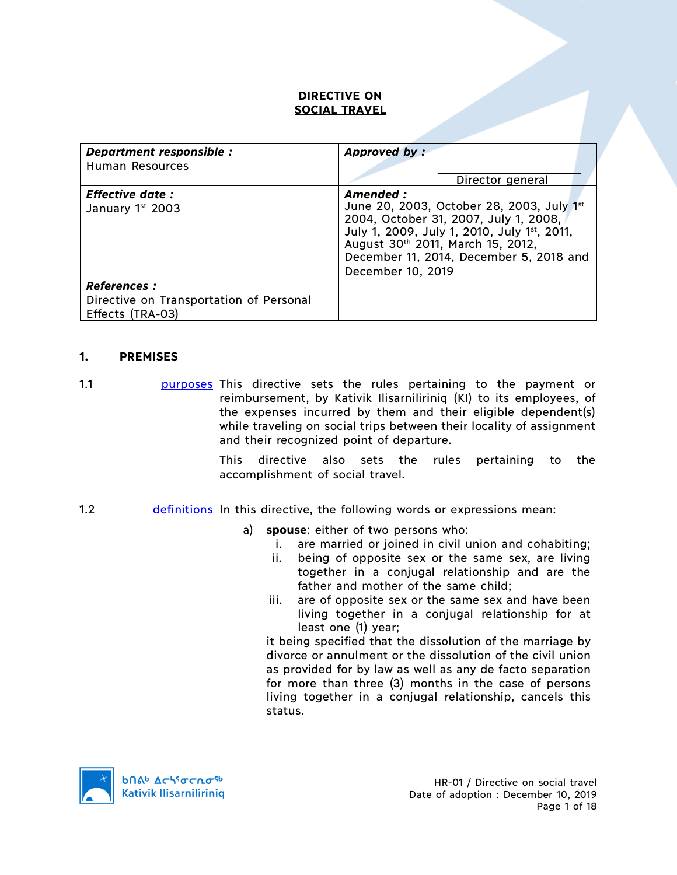### **DIRECTIVE ON SOCIAL TRAVEL**

| Department responsible :                    | Approved by:                                                                                                                                                                                                                                        |  |
|---------------------------------------------|-----------------------------------------------------------------------------------------------------------------------------------------------------------------------------------------------------------------------------------------------------|--|
| Human Resources                             |                                                                                                                                                                                                                                                     |  |
|                                             | Director general                                                                                                                                                                                                                                    |  |
| <b>Effective date :</b><br>January 1st 2003 | Amended :<br>June 20, 2003, October 28, 2003, July 1st<br>2004, October 31, 2007, July 1, 2008,<br>July 1, 2009, July 1, 2010, July 1st, 2011,<br>August 30th 2011, March 15, 2012,<br>December 11, 2014, December 5, 2018 and<br>December 10, 2019 |  |
| <b>References :</b>                         |                                                                                                                                                                                                                                                     |  |
| Directive on Transportation of Personal     |                                                                                                                                                                                                                                                     |  |
| Effects (TRA-03)                            |                                                                                                                                                                                                                                                     |  |

#### **1. PREMISES**

1.1 **purposes** This directive sets the rules pertaining to the payment or reimbursement, by Kativik Ilisarniliriniq (KI) to its employees, of the expenses incurred by them and their eligible dependent(s) while traveling on social trips between their locality of assignment and their recognized point of departure.

> This directive also sets the rules pertaining to the accomplishment of social travel.

#### 1.2 definitions In this directive, the following words or expressions mean:

- a) **spouse**: either of two persons who:
	- i. are married or joined in civil union and cohabiting;
	- ii. being of opposite sex or the same sex, are living together in a conjugal relationship and are the father and mother of the same child;
	- iii. are of opposite sex or the same sex and have been living together in a conjugal relationship for at least one (1) year;

it being specified that the dissolution of the marriage by divorce or annulment or the dissolution of the civil union as provided for by law as well as any de facto separation for more than three (3) months in the case of persons living together in a conjugal relationship, cancels this status.

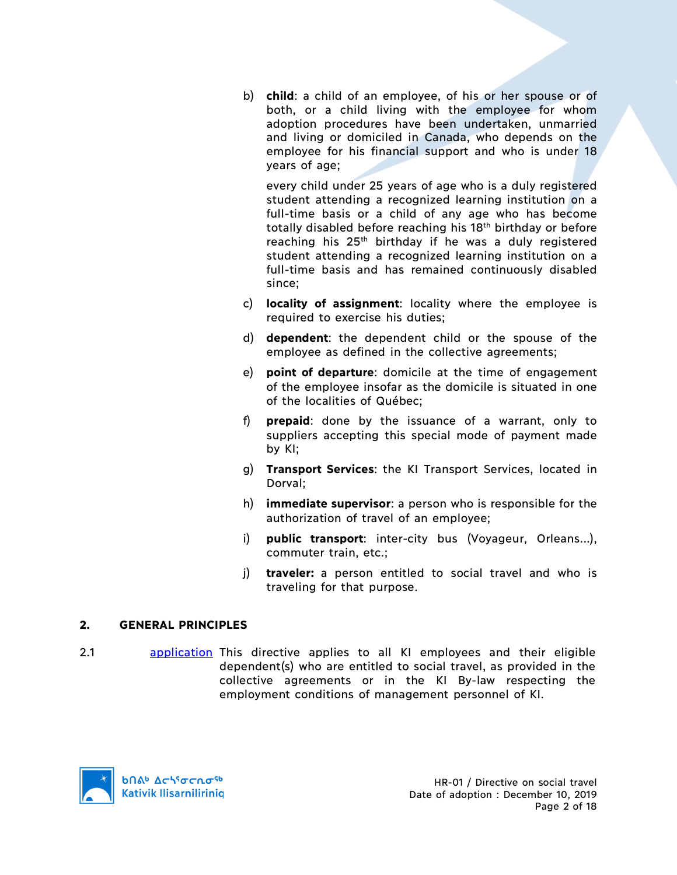b) **child**: a child of an employee, of his or her spouse or of both, or a child living with the employee for whom adoption procedures have been undertaken, unmarried and living or domiciled in Canada, who depends on the employee for his financial support and who is under 18 years of age;

every child under 25 years of age who is a duly registered student attending a recognized learning institution on a full-time basis or a child of any age who has become totally disabled before reaching his 18th birthday or before reaching his  $25<sup>th</sup>$  birthday if he was a duly registered student attending a recognized learning institution on a full-time basis and has remained continuously disabled since;

- c) **locality of assignment**: locality where the employee is required to exercise his duties:
- d) **dependent**: the dependent child or the spouse of the employee as defined in the collective agreements;
- e) **point of departure**: domicile at the time of engagement of the employee insofar as the domicile is situated in one of the localities of Québec;
- f) **prepaid**: done by the issuance of a warrant, only to suppliers accepting this special mode of payment made by KI;
- g) **Transport Services**: the KI Transport Services, located in Dorval;
- h) **immediate supervisor**: a person who is responsible for the authorization of travel of an employee;
- i) **public transport**: inter-city bus (Voyageur, Orleans...), commuter train, etc.;
- j) **traveler:** a person entitled to social travel and who is traveling for that purpose.

# **2. GENERAL PRINCIPLES**

2.1 **application** This directive applies to all KI employees and their eligible dependent(s) who are entitled to social travel, as provided in the collective agreements or in the KI By-law respecting the employment conditions of management personnel of KI.

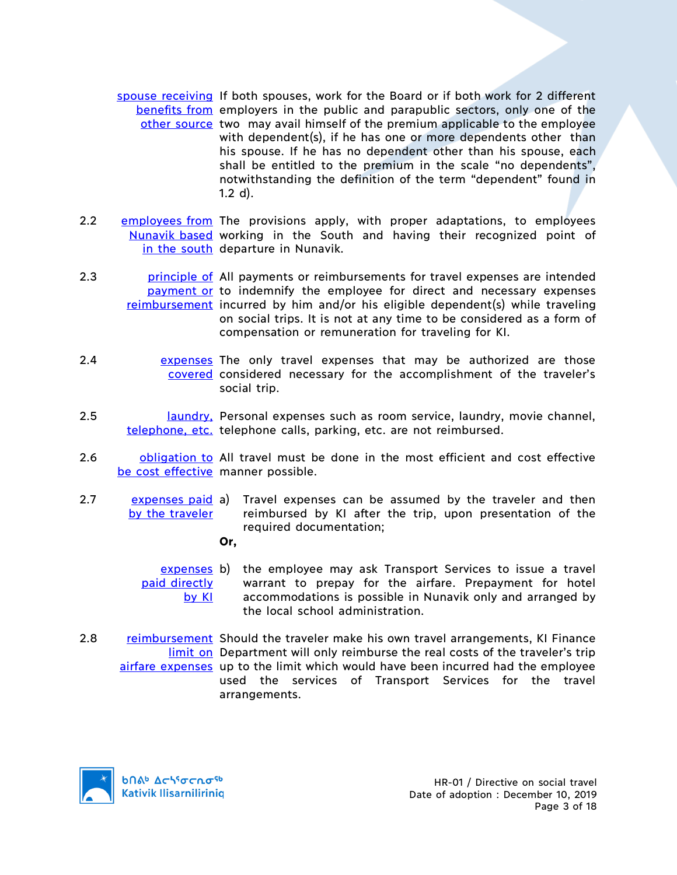- spouse receiving If both spouses, work for the Board or if both work for 2 different benefits from employers in the public and parapublic sectors, only one of the other source two may avail himself of the premium applicable to the employee with dependent(s), if he has one or more dependents other than his spouse. If he has no dependent other than his spouse, each shall be entitled to the premium in the scale "no dependents", notwithstanding the definition of the term "dependent" found in 1.2 d).
- 2.2 employees from The provisions apply, with proper adaptations, to employees Nunavik based working in the South and having their recognized point of in the south departure in Nunavik.
- 2.3 **principle of All payments or reimbursements for travel expenses are intended** payment or to indemnify the employee for direct and necessary expenses reimbursement incurred by him and/or his eligible dependent(s) while traveling on social trips. It is not at any time to be considered as a form of compensation or remuneration for traveling for KI.
- 2.4 **Expenses** The only travel expenses that may be authorized are those covered considered necessary for the accomplishment of the traveler's social trip.
- 2.5 laundry, Personal expenses such as room service, laundry, movie channel, telephone, etc. telephone calls, parking, etc. are not reimbursed.
- 2.6 **buligation to** All travel must be done in the most efficient and cost effective be cost effective manner possible.
- 2.7 expenses paid a) by the traveler Travel expenses can be assumed by the traveler and then reimbursed by KI after the trip, upon presentation of the required documentation;
	- **Or,**
	- expenses b) paid directly by KI the employee may ask Transport Services to issue a travel warrant to prepay for the airfare. Prepayment for hotel accommodations is possible in Nunavik only and arranged by the local school administration.
- 2.8 reimbursement Should the traveler make his own travel arrangements, KI Finance limit on Department will only reimburse the real costs of the traveler's trip airfare expenses up to the limit which would have been incurred had the employee used the services of Transport Services for the travel arrangements.

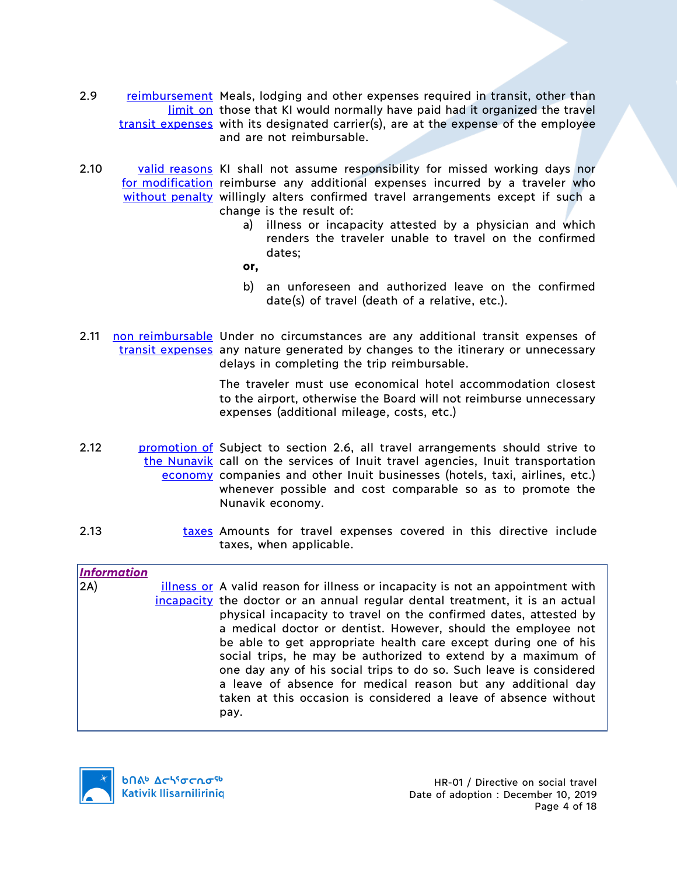- 2.9 reimbursement Meals, lodging and other expenses required in transit, other than limit on those that KI would normally have paid had it organized the travel transit expenses with its designated carrier(s), are at the expense of the employee and are not reimbursable.
- 2.10 valid reasons KI shall not assume responsibility for missed working days nor for modification reimburse any additional expenses incurred by a traveler who without penalty willingly alters confirmed travel arrangements except if such a change is the result of:
	- a) illness or incapacity attested by a physician and which renders the traveler unable to travel on the confirmed dates;

**or,**

- b) an unforeseen and authorized leave on the confirmed date(s) of travel (death of a relative, etc.).
- 2.11 non reimbursable Under no circumstances are any additional transit expenses of transit expenses any nature generated by changes to the itinerary or unnecessary delays in completing the trip reimbursable.

The traveler must use economical hotel accommodation closest to the airport, otherwise the Board will not reimburse unnecessary expenses (additional mileage, costs, etc.)

- 2.12 **promotion of** Subject to section 2.6, all travel arrangements should strive to the Nunavik call on the services of Inuit travel agencies, Inuit transportation economy companies and other Inuit businesses (hotels, taxi, airlines, etc.) whenever possible and cost comparable so as to promote the Nunavik economy.
- 2.13 taxes Amounts for travel expenses covered in this directive include taxes, when applicable.

*Information*

2A) illness or A valid reason for illness or incapacity is not an appointment with incapacity the doctor or an annual regular dental treatment, it is an actual physical incapacity to travel on the confirmed dates, attested by a medical doctor or dentist. However, should the employee not be able to get appropriate health care except during one of his social trips, he may be authorized to extend by a maximum of one day any of his social trips to do so. Such leave is considered a leave of absence for medical reason but any additional day taken at this occasion is considered a leave of absence without pay.

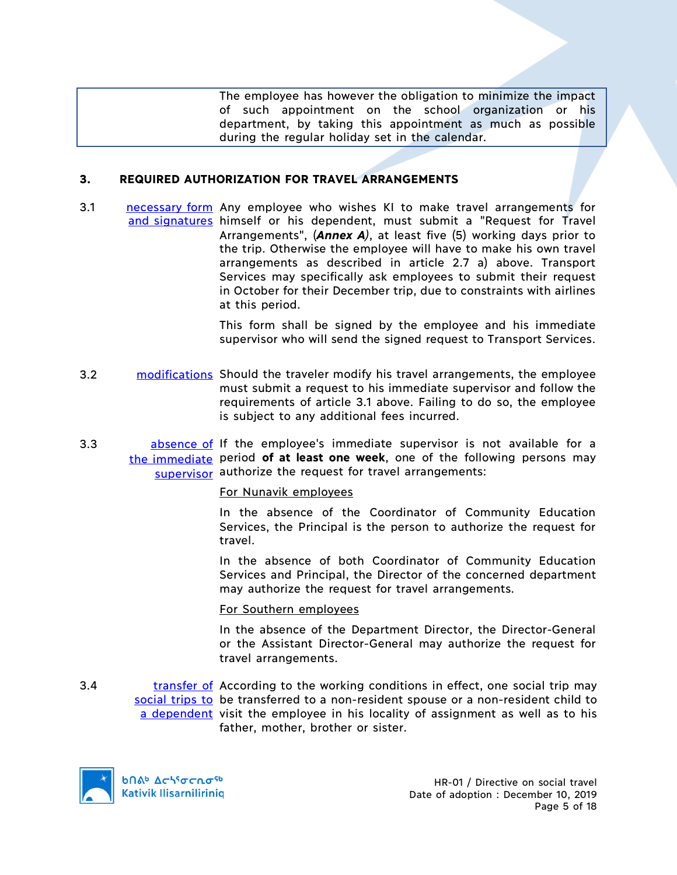The employee has however the obligation to minimize the impact of such appointment on the school organization or his department, by taking this appointment as much as possible during the regular holiday set in the calendar.

#### **3. REQUIRED AUTHORIZATION FOR TRAVEL ARRANGEMENTS**

3.1 **necessary form** Any employee who wishes KI to make travel arrangements for and signatures himself or his dependent, must submit a "Request for Travel Arrangements", (*Annex A)*, at least five (5) working days prior to the trip. Otherwise the employee will have to make his own travel arrangements as described in article 2.7 a) above. Transport Services may specifically ask employees to submit their request in October for their December trip, due to constraints with airlines at this period.

> This form shall be signed by the employee and his immediate supervisor who will send the signed request to Transport Services.

- 3.2 modifications Should the traveler modify his travel arrangements, the employee must submit a request to his immediate supervisor and follow the requirements of article 3.1 above. Failing to do so, the employee is subject to any additional fees incurred.
- 3.3 **bleight absence of If the employee's immediate supervisor is not available for a** the immediate period **of at least one week**, one of the following persons may supervisor authorize the request for travel arrangements:

#### For Nunavik employees

In the absence of the Coordinator of Community Education Services, the Principal is the person to authorize the request for travel.

In the absence of both Coordinator of Community Education Services and Principal, the Director of the concerned department may authorize the request for travel arrangements.

#### For Southern employees

In the absence of the Department Director, the Director-General or the Assistant Director-General may authorize the request for travel arrangements.

3.4 transfer of According to the working conditions in effect, one social trip may social trips to be transferred to a non-resident spouse or a non-resident child to a dependent visit the employee in his locality of assignment as well as to his father, mother, brother or sister.

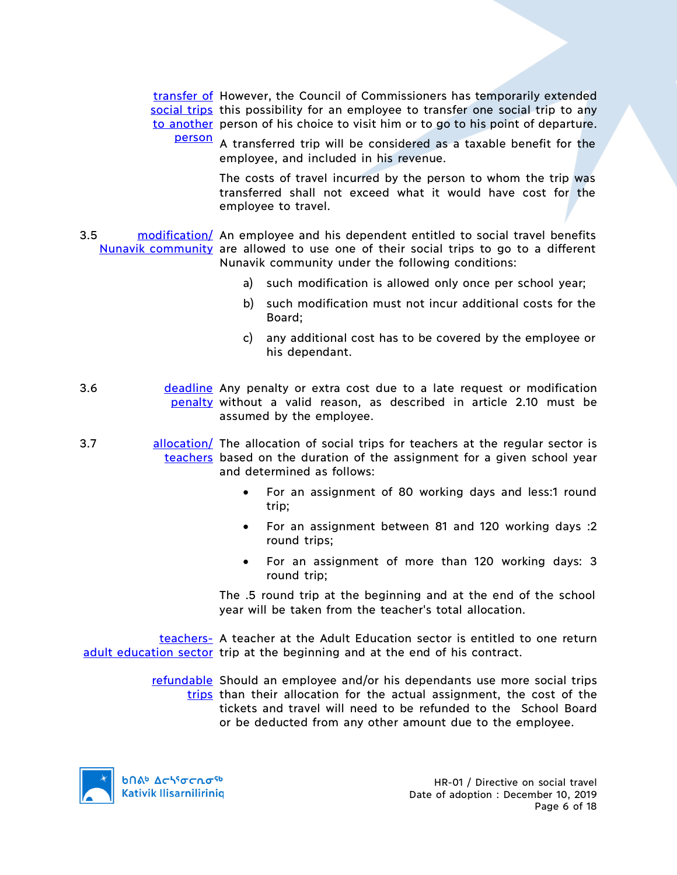transfer of However, the Council of Commissioners has temporarily extended social trips this possibility for an employee to transfer one social trip to any to another person of his choice to visit him or to go to his point of departure.

person A transferred trip will be considered as a taxable benefit for the employee, and included in his revenue.

> The costs of travel incurred by the person to whom the trip was transferred shall not exceed what it would have cost for the employee to travel.

- 3.5 modification/ An employee and his dependent entitled to social travel benefits Nunavik community are allowed to use one of their social trips to go to a different Nunavik community under the following conditions:
	- a) such modification is allowed only once per school year;
	- b) such modification must not incur additional costs for the Board;
	- c) any additional cost has to be covered by the employee or his dependant.
- 3.6 **deadline** Any penalty or extra cost due to a late request or modification penalty without a valid reason, as described in article 2.10 must be assumed by the employee.
- 3.7 allocation/ The allocation of social trips for teachers at the regular sector is teachers based on the duration of the assignment for a given school year and determined as follows:
	- For an assignment of 80 working days and less:1 round trip;
	- For an assignment between 81 and 120 working days :2 round trips;
	- For an assignment of more than 120 working days: 3 round trip;

The .5 round trip at the beginning and at the end of the school year will be taken from the teacher's total allocation.

teachers- A teacher at the Adult Education sector is entitled to one return adult education sector trip at the beginning and at the end of his contract.

> refundable Should an employee and/or his dependants use more social trips trips than their allocation for the actual assignment, the cost of the tickets and travel will need to be refunded to the School Board or be deducted from any other amount due to the employee.

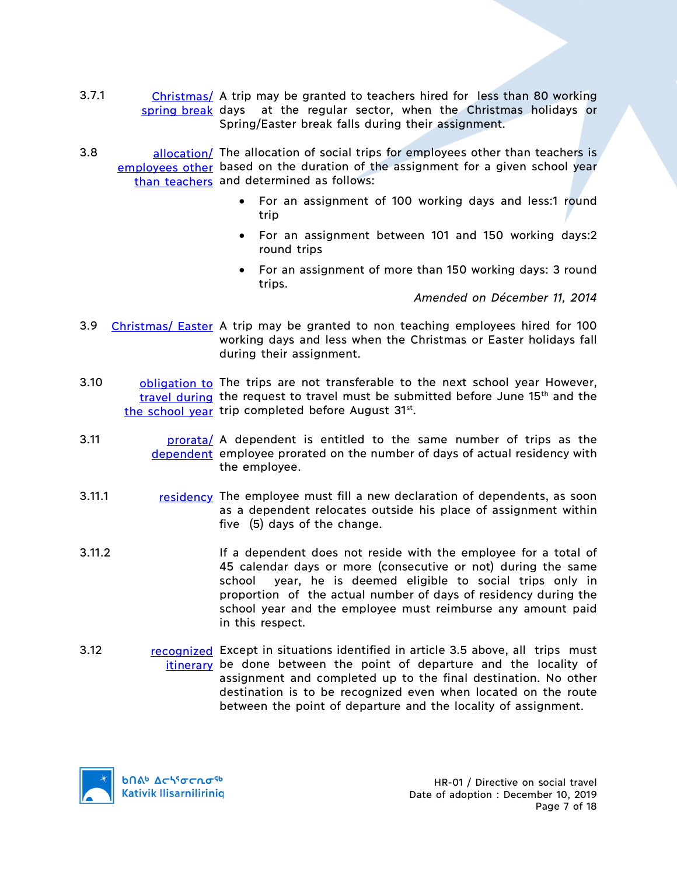- 3.7.1 Christmas/ A trip may be granted to teachers hired for less than 80 working spring break days at the regular sector, when the Christmas holidays or Spring/Easter break falls during their assignment.
- 3.8 allocation/ The allocation of social trips for employees other than teachers is employees other based on the duration of the assignment for a given school year than teachers and determined as follows:
	- For an assignment of 100 working days and less:1 round trip
	- For an assignment between 101 and 150 working days:2 round trips
	- For an assignment of more than 150 working days: 3 round trips.

*Amended on Décember 11, 2014*

- 3.9 Christmas/ Easter A trip may be granted to non teaching employees hired for 100 working days and less when the Christmas or Easter holidays fall during their assignment.
- 3.10 **bligation to** The trips are not transferable to the next school year However, travel during the request to travel must be submitted before June 15<sup>th</sup> and the the school year trip completed before August 31st.
- 3.11 **prorata**/ A dependent is entitled to the same number of trips as the dependent employee prorated on the number of days of actual residency with the employee.
- 3.11.1 residency The employee must fill a new declaration of dependents, as soon as a dependent relocates outside his place of assignment within five (5) days of the change.
- 3.11.2 If a dependent does not reside with the employee for a total of 45 calendar days or more (consecutive or not) during the same school year, he is deemed eligible to social trips only in proportion of the actual number of days of residency during the school year and the employee must reimburse any amount paid in this respect.
- 3.12 recognized Except in situations identified in article 3.5 above, all trips must itinerary be done between the point of departure and the locality of assignment and completed up to the final destination. No other destination is to be recognized even when located on the route between the point of departure and the locality of assignment.

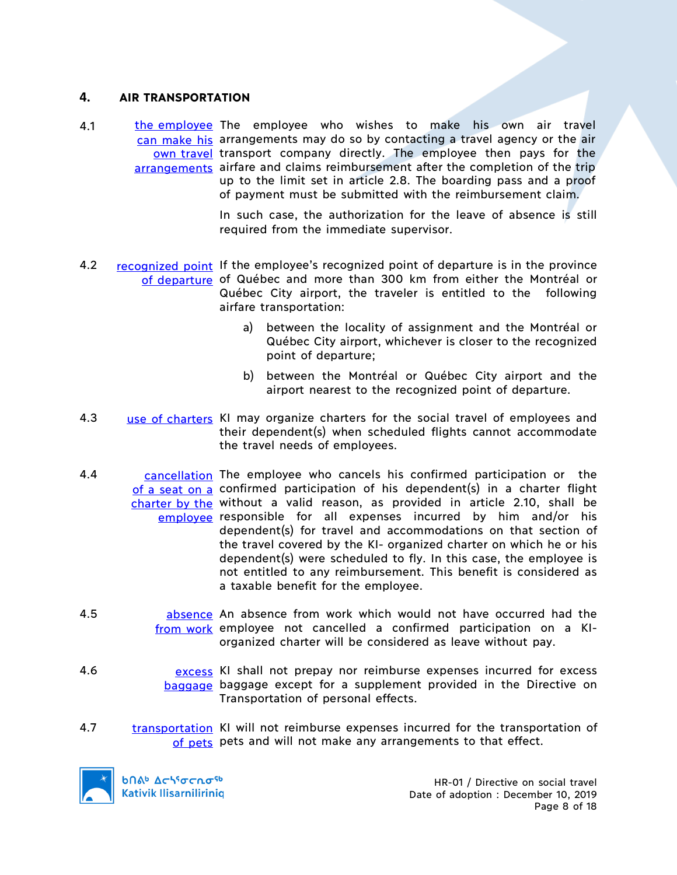### **4. AIR TRANSPORTATION**

4.1 **the employee** The employee who wishes to make his own air travel can make his arrangements may do so by contacting a travel agency or the air own travel transport company directly. The employee then pays for the arrangements airfare and claims reimbursement after the completion of the trip up to the limit set in article 2.8. The boarding pass and a proof of payment must be submitted with the reimbursement claim.

> In such case, the authorization for the leave of absence is still required from the immediate supervisor.

- 4.2 recognized point If the employee's recognized point of departure is in the province of departure of Québec and more than 300 km from either the Montréal or Québec City airport, the traveler is entitled to the following airfare transportation:
	- a) between the locality of assignment and the Montréal or Québec City airport, whichever is closer to the recognized point of departure;
	- b) between the Montréal or Québec City airport and the airport nearest to the recognized point of departure.
- 4.3 use of charters KI may organize charters for the social travel of employees and their dependent(s) when scheduled flights cannot accommodate the travel needs of employees.
- 4.4 cancellation The employee who cancels his confirmed participation or the of a seat on a confirmed participation of his dependent(s) in a charter flight charter by the without a valid reason, as provided in article 2.10, shall be employee responsible for all expenses incurred by him and/or his dependent(s) for travel and accommodations on that section of the travel covered by the KI- organized charter on which he or his dependent(s) were scheduled to fly. In this case, the employee is not entitled to any reimbursement. This benefit is considered as a taxable benefit for the employee.
- 4.5 **absence** An absence from work which would not have occurred had the from work employee not cancelled a confirmed participation on a KIorganized charter will be considered as leave without pay.
- 4.6 excess KI shall not prepay nor reimburse expenses incurred for excess baggage baggage except for a supplement provided in the Directive on Transportation of personal effects.
- 4.7 transportation KI will not reimburse expenses incurred for the transportation of of pets pets and will not make any arrangements to that effect.



**b**በል<sup>b</sup> Δς<sup>16</sup>σς ησ<sup>ερ</sup> **Kativik Ilisarniliriniq**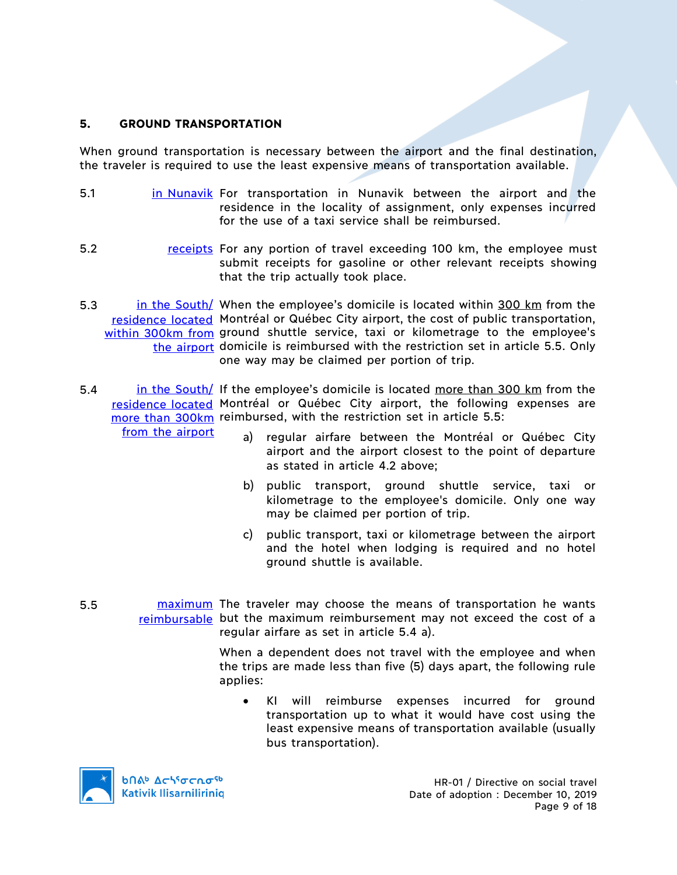### **5. GROUND TRANSPORTATION**

When ground transportation is necessary between the airport and the final destination, the traveler is required to use the least expensive means of transportation available.

- 5.1 **in Nunavik For transportation in Nunavik between the airport and the** residence in the locality of assignment, only expenses incurred for the use of a taxi service shall be reimbursed.
- 5.2 receipts For any portion of travel exceeding 100 km, the employee must submit receipts for gasoline or other relevant receipts showing that the trip actually took place.
- 5.3 in the South/ When the employee's domicile is located within 300 km from the residence located Montréal or Québec City airport, the cost of public transportation, within 300km from ground shuttle service, taxi or kilometrage to the employee's the airport domicile is reimbursed with the restriction set in article 5.5. Only one way may be claimed per portion of trip.
- 5.4 in the South/ If the employee's domicile is located more than 300 km from the residence located Montréal or Québec City airport, the following expenses are more than 300km reimbursed, with the restriction set in article 5.5: from the airport
	- a) regular airfare between the Montréal or Québec City airport and the airport closest to the point of departure as stated in article 4.2 above;
	- b) public transport, ground shuttle service, taxi or kilometrage to the employee's domicile. Only one way may be claimed per portion of trip.
	- c) public transport, taxi or kilometrage between the airport and the hotel when lodging is required and no hotel ground shuttle is available.
- 5.5 maximum The traveler may choose the means of transportation he wants reimbursable but the maximum reimbursement may not exceed the cost of a regular airfare as set in article 5.4 a).

When a dependent does not travel with the employee and when the trips are made less than five (5) days apart, the following rule applies:

KI will reimburse expenses incurred for ground transportation up to what it would have cost using the least expensive means of transportation available (usually bus transportation).

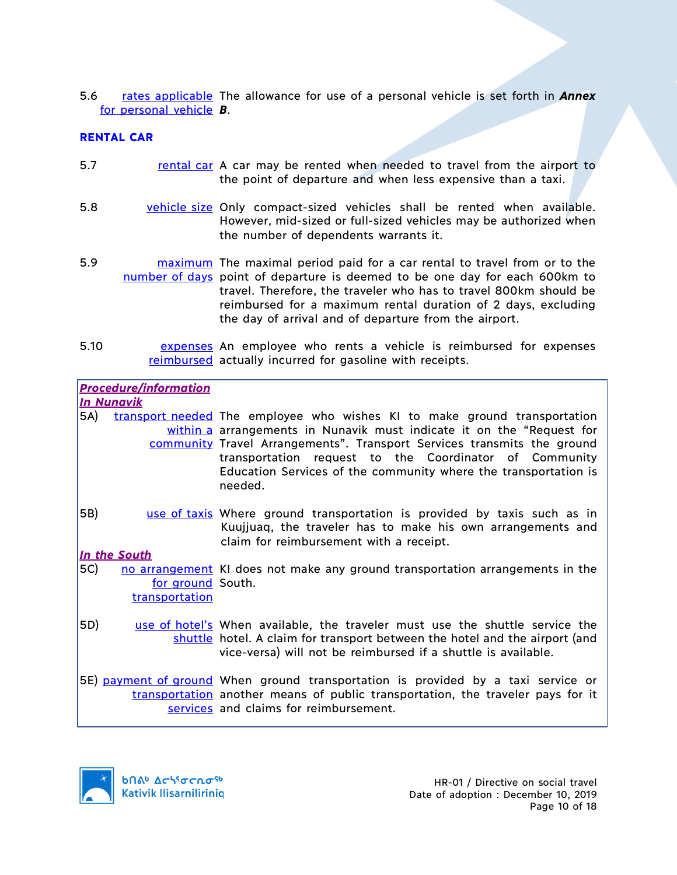5.6 rates applicable The allowance for use of a personal vehicle is set forth in **Annex** for personal vehicle *B*.

# **RENTAL CAR**

- 5.7 **rental car A car may be rented when needed to travel from the airport to** the point of departure and when less expensive than a taxi.
- 5.8 vehicle size Only compact-sized vehicles shall be rented when available. However, mid-sized or full-sized vehicles may be authorized when the number of dependents warrants it.
- 5.9 **maximum** The maximal period paid for a car rental to travel from or to the number of days point of departure is deemed to be one day for each 600km to travel. Therefore, the traveler who has to travel 800km should be reimbursed for a maximum rental duration of 2 days, excluding the day of arrival and of departure from the airport.
- 5.10 **EXPERSES AN EMPLOYEE Who rents a vehicle is reimbursed for expenses** reimbursed actually incurred for gasoline with receipts.

|     | <b>Procedure/information</b><br><u>In Nunavik</u>   |                                                                                                                                                                                                                                                                                                                                                                       |
|-----|-----------------------------------------------------|-----------------------------------------------------------------------------------------------------------------------------------------------------------------------------------------------------------------------------------------------------------------------------------------------------------------------------------------------------------------------|
| 5A) |                                                     | transport needed The employee who wishes KI to make ground transportation<br>within a arrangements in Nunavik must indicate it on the "Request for<br>community Travel Arrangements". Transport Services transmits the ground<br>transportation request to the Coordinator of Community<br>Education Services of the community where the transportation is<br>needed. |
| 5B) |                                                     | use of taxis Where ground transportation is provided by taxis such as in<br>Kuujjuaq, the traveler has to make his own arrangements and<br>claim for reimbursement with a receipt.                                                                                                                                                                                    |
| 5C) | In the South<br>for ground South.<br>transportation | no arrangement KI does not make any ground transportation arrangements in the                                                                                                                                                                                                                                                                                         |
| 5D) |                                                     | use of hotel's When available, the traveler must use the shuttle service the<br>shuttle hotel. A claim for transport between the hotel and the airport (and<br>vice-versa) will not be reimbursed if a shuttle is available.                                                                                                                                          |
|     |                                                     | 5E) payment of ground When ground transportation is provided by a taxi service or<br>transportation another means of public transportation, the traveler pays for it<br>services and claims for reimbursement.                                                                                                                                                        |

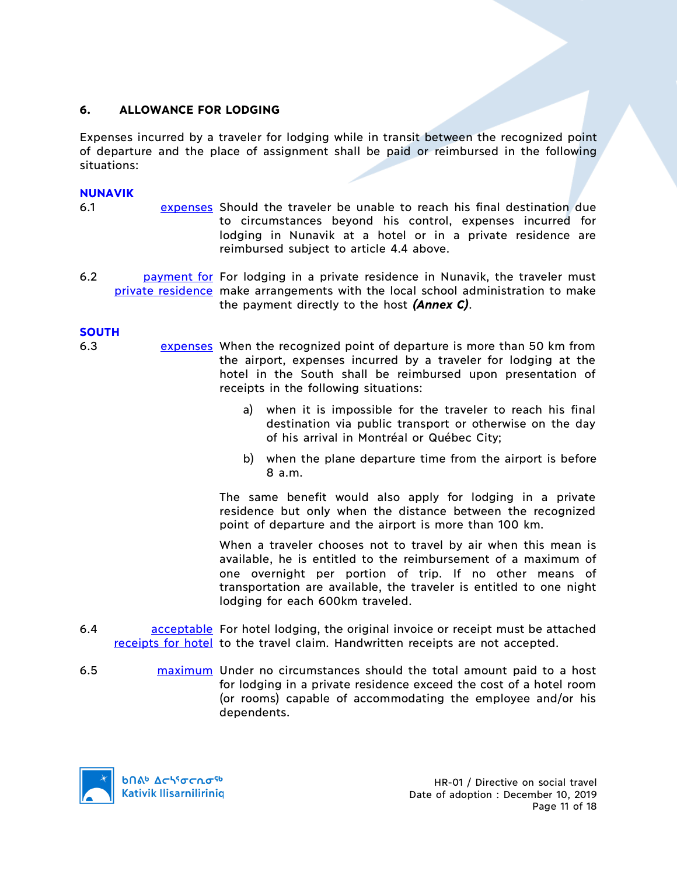# **6. ALLOWANCE FOR LODGING**

Expenses incurred by a traveler for lodging while in transit between the recognized point of departure and the place of assignment shall be paid or reimbursed in the following situations:

### **NUNAVIK**

- 6.1 expenses Should the traveler be unable to reach his final destination due to circumstances beyond his control, expenses incurred for lodging in Nunavik at a hotel or in a private residence are reimbursed subject to article 4.4 above.
- 6.2 **payment for For lodging in a private residence in Nunavik, the traveler must** private residence make arrangements with the local school administration to make the payment directly to the host *(Annex C)*.

### **SOUTH**

- 6.3 expenses When the recognized point of departure is more than 50 km from the airport, expenses incurred by a traveler for lodging at the hotel in the South shall be reimbursed upon presentation of receipts in the following situations:
	- a) when it is impossible for the traveler to reach his final destination via public transport or otherwise on the day of his arrival in Montréal or Québec City;
	- b) when the plane departure time from the airport is before 8 a.m.

The same benefit would also apply for lodging in a private residence but only when the distance between the recognized point of departure and the airport is more than 100 km.

When a traveler chooses not to travel by air when this mean is available, he is entitled to the reimbursement of a maximum of one overnight per portion of trip. If no other means of transportation are available, the traveler is entitled to one night lodging for each 600km traveled.

- 6.4 **acceptable** For hotel lodging, the original invoice or receipt must be attached receipts for hotel to the travel claim. Handwritten receipts are not accepted.
- 6.5 maximum Under no circumstances should the total amount paid to a host for lodging in a private residence exceed the cost of a hotel room (or rooms) capable of accommodating the employee and/or his dependents.

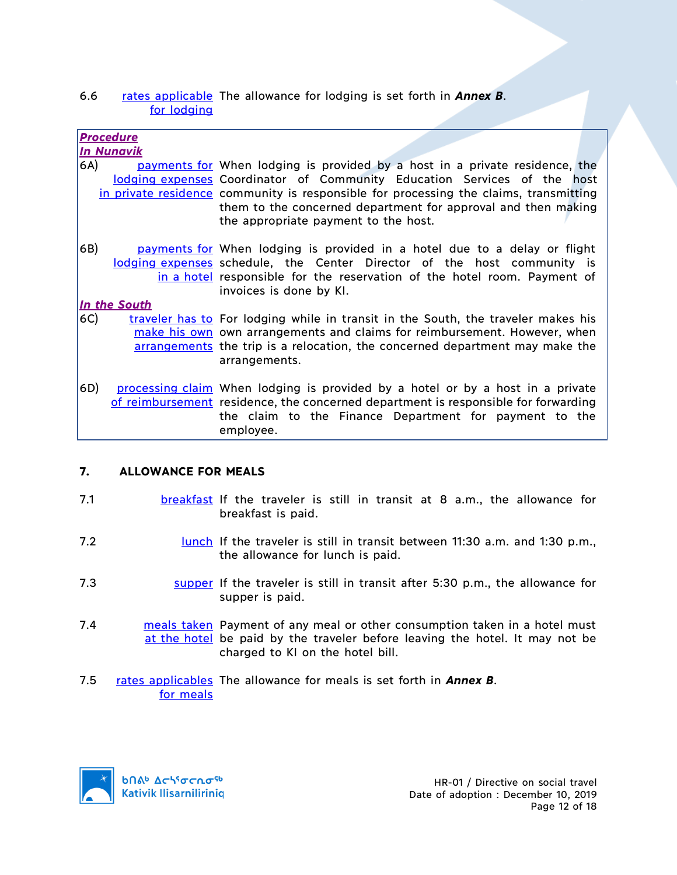### 6.6 rates applicable The allowance for lodging is set forth in **Annex B**. for lodging

|     | <u>Procedure</u><br><u>In Nunavik</u> |                                                                                                                                                                                                                                                                                                                                                           |
|-----|---------------------------------------|-----------------------------------------------------------------------------------------------------------------------------------------------------------------------------------------------------------------------------------------------------------------------------------------------------------------------------------------------------------|
| 6A) |                                       | payments for When lodging is provided by a host in a private residence, the<br>lodging expenses Coordinator of Community Education Services of the host<br>in private residence community is responsible for processing the claims, transmitting<br>them to the concerned department for approval and then making<br>the appropriate payment to the host. |
| 6B) |                                       | payments for When lodging is provided in a hotel due to a delay or flight<br>lodging expenses schedule, the Center Director of the host community is<br>in a hotel responsible for the reservation of the hotel room. Payment of<br>invoices is done by KI.                                                                                               |
|     | In the South                          |                                                                                                                                                                                                                                                                                                                                                           |
| 6C) |                                       | traveler has to For lodging while in transit in the South, the traveler makes his<br>make his own own arrangements and claims for reimbursement. However, when<br>arrangements the trip is a relocation, the concerned department may make the<br>arrangements.                                                                                           |
| 6D) |                                       | processing claim When lodging is provided by a hotel or by a host in a private<br>of reimbursement residence, the concerned department is responsible for forwarding<br>the claim to the Finance Department for payment to the<br>employee.                                                                                                               |

# **7. ALLOWANCE FOR MEALS**

- 7.1 **breakfast** If the traveler is still in transit at 8 a.m., the allowance for breakfast is paid.
- 7.2 lunch If the traveler is still in transit between 11:30 a.m. and 1:30 p.m., the allowance for lunch is paid.
- 7.3 supper If the traveler is still in transit after 5:30 p.m., the allowance for supper is paid.
- 7.4 **meals taken** Payment of any meal or other consumption taken in a hotel must at the hotel be paid by the traveler before leaving the hotel. It may not be charged to KI on the hotel bill.
- 7.5 rates applicables The allowance for meals is set forth in **Annex B**. for meals

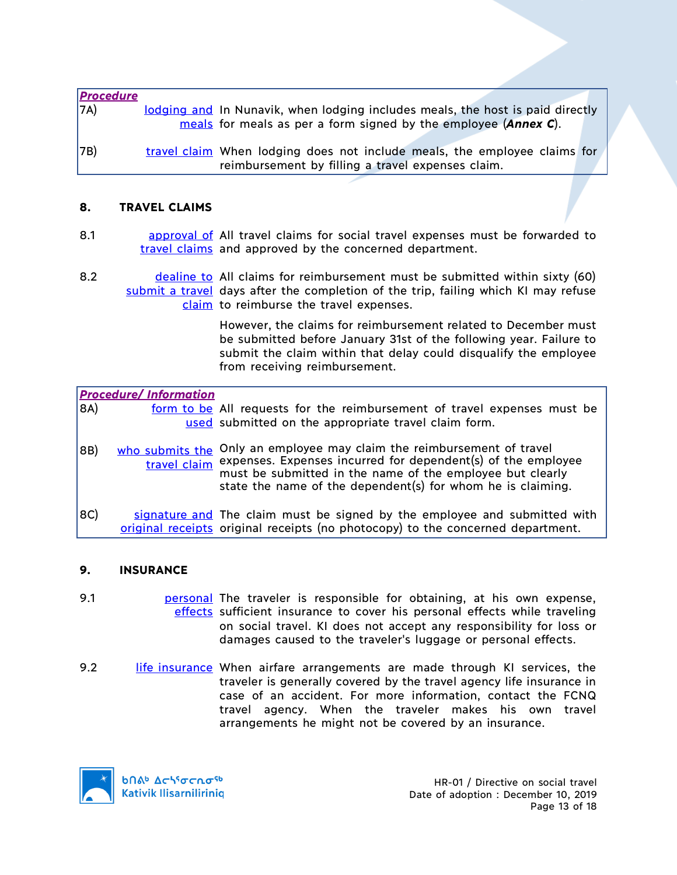| <b>Procedure</b><br>7A) | lodging and In Nunavik, when lodging includes meals, the host is paid directly<br>meals for meals as per a form signed by the employee (Annex C). |  |
|-------------------------|---------------------------------------------------------------------------------------------------------------------------------------------------|--|
| 7B)                     | travel claim When lodging does not include meals, the employee claims for<br>reimbursement by filling a travel expenses claim.                    |  |

### **8. TRAVEL CLAIMS**

- 8.1 **approval of All travel claims for social travel expenses must be forwarded to** travel claims and approved by the concerned department.
- 8.2 dealine to All claims for reimbursement must be submitted within sixty (60) submit a travel days after the completion of the trip, failing which KI may refuse claim to reimburse the travel expenses.

However, the claims for reimbursement related to December must be submitted before January 31st of the following year. Failure to submit the claim within that delay could disqualify the employee from receiving reimbursement.

|     | <b>Procedure/Information</b> |                                                                                                                                                                                                                                                                 |
|-----|------------------------------|-----------------------------------------------------------------------------------------------------------------------------------------------------------------------------------------------------------------------------------------------------------------|
| 8A) |                              | form to be All requests for the reimbursement of travel expenses must be<br>used submitted on the appropriate travel claim form.                                                                                                                                |
| 8B) | who submits the              | Only an employee may claim the reimbursement of travel<br>travel claim expenses. Expenses incurred for dependent(s) of the employee<br>must be submitted in the name of the employee but clearly<br>state the name of the dependent(s) for whom he is claiming. |
| 8C) |                              | signature and The claim must be signed by the employee and submitted with<br>original receipts original receipts (no photocopy) to the concerned department.                                                                                                    |

#### **9. INSURANCE**

- 9.1 **personal The traveler is responsible for obtaining, at his own expense,** effects sufficient insurance to cover his personal effects while traveling on social travel. KI does not accept any responsibility for loss or damages caused to the traveler's luggage or personal effects.
- 9.2 life insurance When airfare arrangements are made through KI services, the traveler is generally covered by the travel agency life insurance in case of an accident. For more information, contact the FCNQ travel agency. When the traveler makes his own travel arrangements he might not be covered by an insurance.

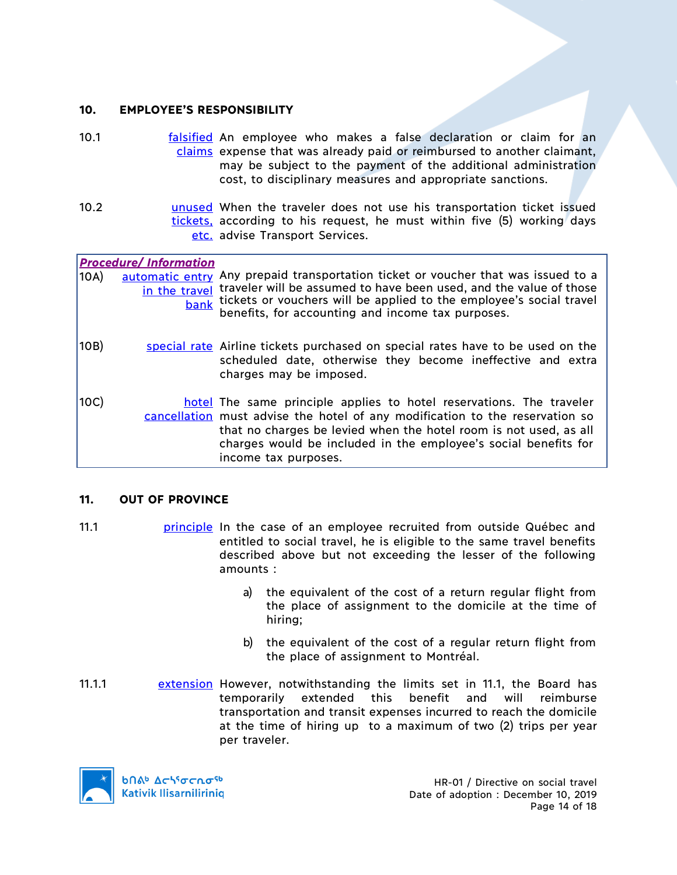### **10. EMPLOYEE'S RESPONSIBILITY**

- 10.1 **falsified** An employee who makes a false declaration or claim for an claims expense that was already paid or reimbursed to another claimant, may be subject to the payment of the additional administration cost, to disciplinary measures and appropriate sanctions.
- 10.2 **busing unused** When the traveler does not use his transportation ticket issued tickets, according to his request, he must within five (5) working days etc. advise Transport Services.

|      | <b>Procedure/Information</b> |                                                                                                                                                                                                                                                                                                                      |
|------|------------------------------|----------------------------------------------------------------------------------------------------------------------------------------------------------------------------------------------------------------------------------------------------------------------------------------------------------------------|
| 10A) | in the travel<br>bank        | automatic entry Any prepaid transportation ticket or voucher that was issued to a<br>traveler will be assumed to have been used, and the value of those<br>tickets or vouchers will be applied to the employee's social travel<br>benefits, for accounting and income tax purposes.                                  |
| 10B) |                              | special rate Airline tickets purchased on special rates have to be used on the<br>scheduled date, otherwise they become ineffective and extra<br>charges may be imposed.                                                                                                                                             |
| 10C) |                              | hotel The same principle applies to hotel reservations. The traveler<br>cancellation must advise the hotel of any modification to the reservation so<br>that no charges be levied when the hotel room is not used, as all<br>charges would be included in the employee's social benefits for<br>income tax purposes. |

# **11. OUT OF PROVINCE**

- 11.1 principle In the case of an employee recruited from outside Québec and entitled to social travel, he is eligible to the same travel benefits described above but not exceeding the lesser of the following amounts :
	- a) the equivalent of the cost of a return regular flight from the place of assignment to the domicile at the time of hiring;
	- b) the equivalent of the cost of a regular return flight from the place of assignment to Montréal.
- 11.1.1 extension However, notwithstanding the limits set in 11.1, the Board has temporarily extended this benefit and will reimburse transportation and transit expenses incurred to reach the domicile at the time of hiring up to a maximum of two (2) trips per year per traveler.

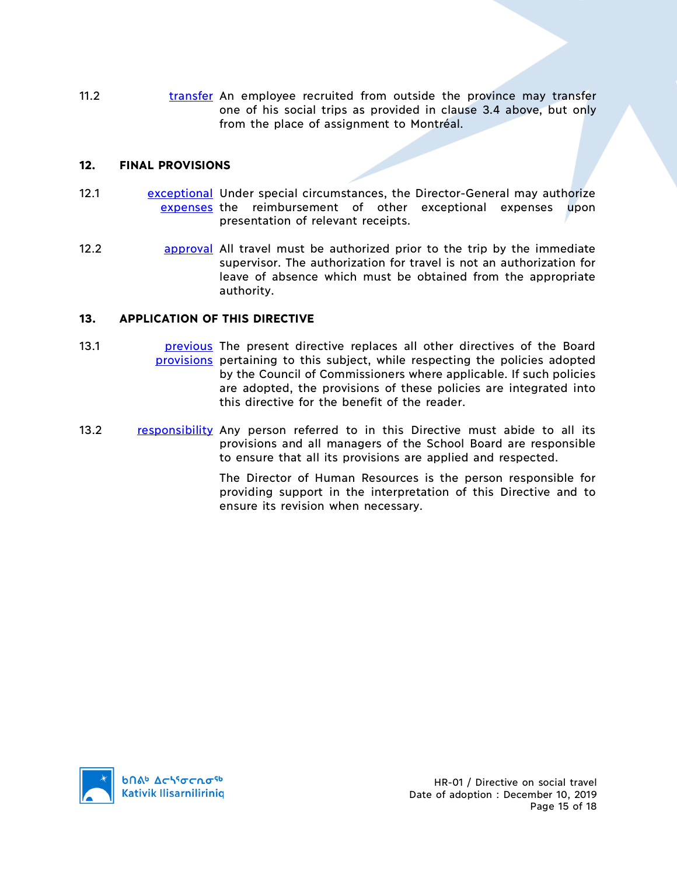11.2 **transfer An employee recruited from outside the province may transfer** one of his social trips as provided in clause 3.4 above, but only from the place of assignment to Montréal.

#### **12. FINAL PROVISIONS**

- 12.1 **Example 12 Exceptional Under special circumstances, the Director-General may authorize** expenses the reimbursement of other exceptional expenses upon presentation of relevant receipts.
- 12.2 **approval** All travel must be authorized prior to the trip by the immediate supervisor. The authorization for travel is not an authorization for leave of absence which must be obtained from the appropriate authority.

### **13. APPLICATION OF THIS DIRECTIVE**

- 13.1 **previous** The present directive replaces all other directives of the Board provisions pertaining to this subject, while respecting the policies adopted by the Council of Commissioners where applicable. If such policies are adopted, the provisions of these policies are integrated into this directive for the benefit of the reader.
- 13.2 responsibility Any person referred to in this Directive must abide to all its provisions and all managers of the School Board are responsible to ensure that all its provisions are applied and respected.

The Director of Human Resources is the person responsible for providing support in the interpretation of this Directive and to ensure its revision when necessary.

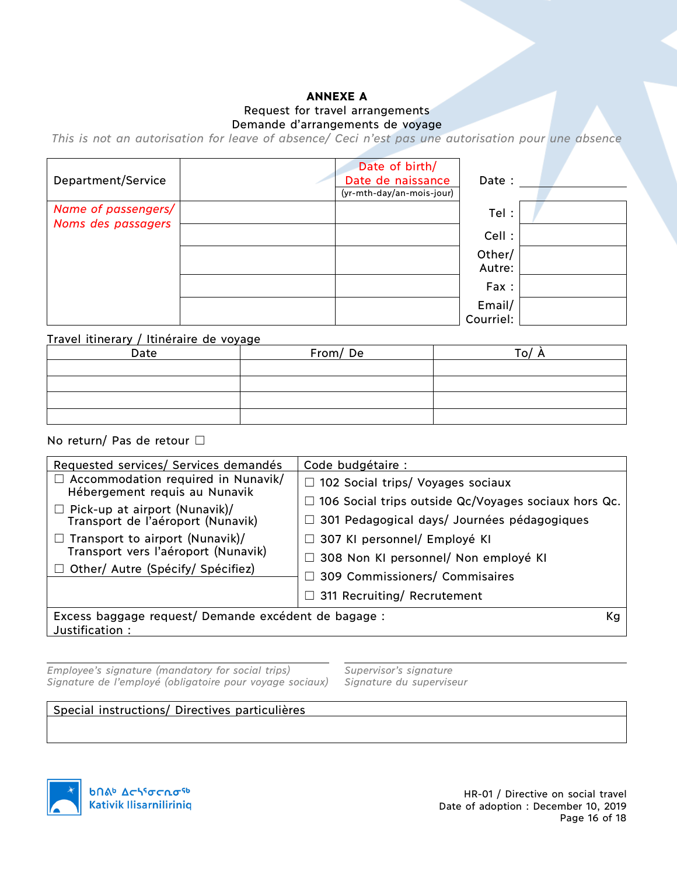### **ANNEXE A** Request for travel arrangements Demande d'arrangements de voyage

*This is not an autorisation for leave of absence/ Ceci n'est pas une autorisation pour une absence*

| Department/Service                        | Date of birth/<br>Date de naissance<br>(yr-mth-day/an-mois-jour) | Date :              |  |
|-------------------------------------------|------------------------------------------------------------------|---------------------|--|
| Name of passengers/<br>Noms des passagers |                                                                  | Tel:                |  |
|                                           |                                                                  | Cell :              |  |
|                                           |                                                                  | Other/<br>Autre:    |  |
|                                           |                                                                  | Fax:                |  |
|                                           |                                                                  | Email/<br>Courriel: |  |

#### Travel itinerary / Itinéraire de voyage

| Date | From/De | $\Omega$ |  |
|------|---------|----------|--|
|      |         |          |  |
|      |         |          |  |
|      |         |          |  |
|      |         |          |  |

#### No return/ Pas de retour □

| Requested services/ Services demandés                                      | Code budgétaire :                                           |
|----------------------------------------------------------------------------|-------------------------------------------------------------|
| $\Box$ Accommodation required in Nunavik/<br>Hébergement requis au Nunavik | $\Box$ 102 Social trips/ Voyages sociaux                    |
| $\Box$ Pick-up at airport (Nunavik)/                                       | $\Box$ 106 Social trips outside Qc/Voyages sociaux hors Qc. |
| Transport de l'aéroport (Nunavik)                                          | □ 301 Pedagogical days/ Journées pédagogiques               |
| Transport to airport (Nunavik)/                                            | $\Box$ 307 KI personnel/ Employé KI                         |
| Transport vers l'aéroport (Nunavik)                                        | □ 308 Non KI personnel/ Non employé KI                      |
| Other/ Autre (Spécify/ Spécifiez)                                          | $\Box$ 309 Commissioners/ Commisaires                       |
|                                                                            | $\Box$ 311 Recruiting/ Recrutement                          |
| Excess baggage request/ Demande excédent de bagage :<br>Justification:     | Kg                                                          |

*Employee's signature (mandatory for social trips) Supervisor's signature Signature de l'employé (obligatoire pour voyage sociaux) Signature du superviseur*

#### Special instructions/ Directives particulières



HR-01 / Directive on social travel Date of adoption : December 10, 2019 Page 16 of 18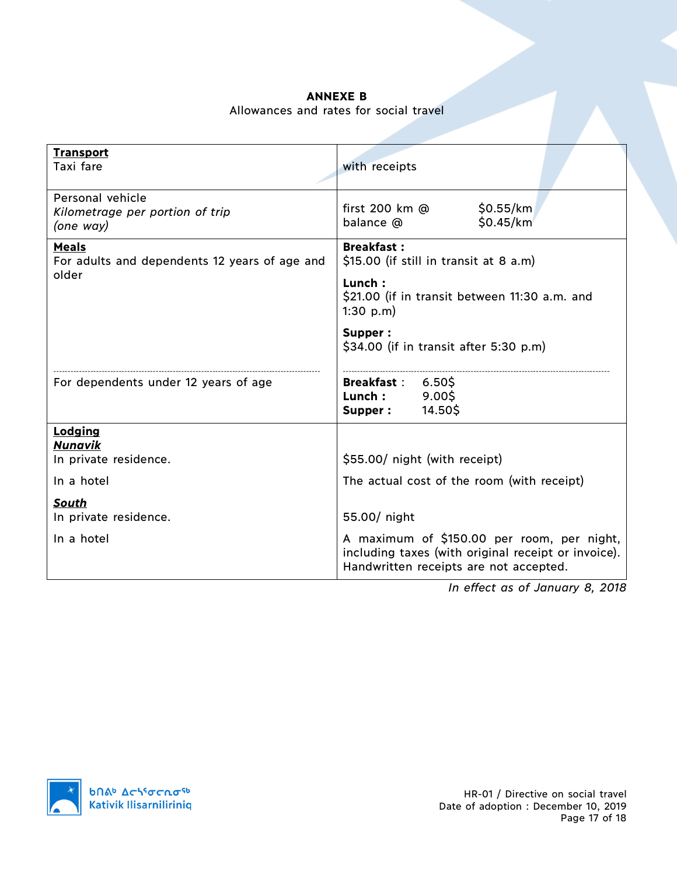### **ANNEXE B** Allowances and rates for social travel

| <b>Transport</b><br>Taxi fare                                    | with receipts                                                                                                                               |  |  |
|------------------------------------------------------------------|---------------------------------------------------------------------------------------------------------------------------------------------|--|--|
| Personal vehicle<br>Kilometrage per portion of trip<br>(one way) | first 200 km @<br>\$0.55/km<br>\$0.45/km<br>balance @                                                                                       |  |  |
| <b>Meals</b><br>For adults and dependents 12 years of age and    | <b>Breakfast:</b><br>\$15.00 (if still in transit at 8 a.m)                                                                                 |  |  |
| older                                                            | Lunch:<br>\$21.00 (if in transit between 11:30 a.m. and<br>1:30 $p.m$ )                                                                     |  |  |
|                                                                  | Supper:<br>$$34.00$ (if in transit after 5:30 p.m)                                                                                          |  |  |
| For dependents under 12 years of age                             | <b>Breakfast:</b><br>6.50\$<br>Lunch :<br>9.00\$<br>14.50\$<br>Supper:                                                                      |  |  |
| Lodging                                                          |                                                                                                                                             |  |  |
| Nunavik<br>In private residence.                                 | \$55.00/ night (with receipt)                                                                                                               |  |  |
| In a hotel                                                       | The actual cost of the room (with receipt)                                                                                                  |  |  |
| South                                                            |                                                                                                                                             |  |  |
| In private residence.                                            | 55.00/ night                                                                                                                                |  |  |
| In a hotel                                                       | A maximum of \$150.00 per room, per night,<br>including taxes (with original receipt or invoice).<br>Handwritten receipts are not accepted. |  |  |

*In effect as of January 8, 2018*